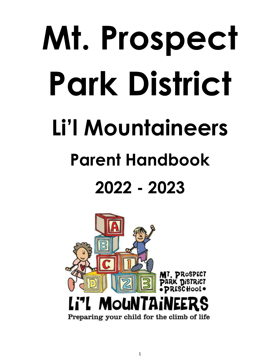# **Mt. Prospect Park District Li'l Mountaineers Parent Handbook 2022 - 2023**

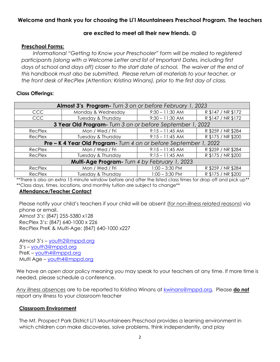# **Welcome and thank you for choosing the Li'l Mountaineers Preschool Program. The teachers**

#### **are excited to meet all their new friends.**

#### **Preschool Forms:**

*Informational "Getting to Know your Preschooler" form will be mailed to registered participants (along with a Welcome Letter and list of Important Dates, including first*  days of school and days off) closer to the start date of school. The waiver at the end of *this handbook must also be submitted. Please return all materials to your teacher, or the front desk of RecPlex (Attention: Kristina Winans), prior to the first day of class.*

#### **Class Offerings:**

| Almost 3's Program- Turn 3 on or before February 1, 2023           |                    |                   |                    |  |
|--------------------------------------------------------------------|--------------------|-------------------|--------------------|--|
| CCC                                                                | Monday & Wednesday | $9:30 - 11:30$ AM | R \$147 / NR \$172 |  |
| CCC                                                                | Tuesday & Thursday | $9:30 - 11:30$ AM | R \$147 / NR \$172 |  |
| 3 Year Old Program - Turn 3 on or before September 1, 2022         |                    |                   |                    |  |
| RecPlex                                                            | Mon / Wed / Fri    | $9:15 - 11:45$ AM | R \$259 / NR \$284 |  |
| RecPlex                                                            | Tuesday & Thursday | $9:15 - 11:45$ AM | R \$175 / NR \$200 |  |
| Pre - K 4 Year Old Program - Turn 4 on or before September 1, 2022 |                    |                   |                    |  |
| RecPlex                                                            | Mon / Wed / Fri    | $9:15 - 11:45$ AM | R \$259 / NR \$284 |  |
| RecPlex                                                            | Tuesday & Thursday | $9:15 - 11:45$ AM | R \$175 / NR \$200 |  |
| Multi-Age Program- Turn 4 by February 1, 2023                      |                    |                   |                    |  |
| RecPlex                                                            | Mon / Wed / Fri    | $1:00 - 3:30$ PM  | R \$259 / NR \$284 |  |
| RecPlex                                                            | Tuesday & Thursday | $1:00 - 3:30$ PM  | R \$175 / NR \$200 |  |

\*\*There is also an extra 15 minute window before and after the listed class times for drop off and pick up\*\* \*\*Class days, times, locations, and monthly tuition are subject to change\*\*

#### **Attendance/Teacher Contact**

Please notify your child's teachers if your child will be absent (*for non-illness related reasons*) via phone or email. Almost 3's: (847) 255-5380 x128 RecPlex 3's: (847) 640-1000 x 226 RecPlex PreK & Multi-Age: (847) 640-1000 x227

Almost 3's – [youth2@mppd.org](mailto:youth2@mppd.org)  3's – [youth3@mppd.org](mailto:youth3@mppd.org) PreK – [youth4@mppd.org](mailto:youth4@mppd.org) Multi Age – [youth4@mppd.org](mailto:youth4@mppd.org)

We have an *open door* policy meaning you may speak to your teachers at any time. If more time is needed, please schedule a conference.

*Any illness absences* are to be reported to Kristina Winans at [kwinans@mppd.org.](mailto:kwinans@mppd.org) Please **do not** report any illness to your classroom teacher

#### **Classroom Environment**

The Mt. Prospect Park District Li'l Mountaineers Preschool provides a learning environment in which children can make discoveries, solve problems, think independently, and play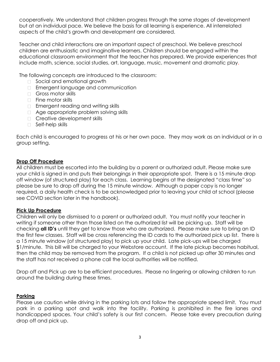cooperatively. We understand that children progress through the same stages of development but at an individual pace. We believe the basis for all learning is experience. All interrelated aspects of the child's growth and development are considered.

Teacher and child interactions are an important aspect of preschool. We believe preschool children are enthusiastic and imaginative learners. Children should be engaged within the educational classroom environment that the teacher has prepared. We provide experiences that include math, science, social studies, art, language, music, movement and dramatic play.

The following concepts are introduced to the classroom:

- □ Social and emotional growth
- **Emergent language and communication**
- Gross motor skills
- □ Fine motor skills
- **Emergent reading and writing skills**
- □ Age appropriate problem solving skills
- **Creative development skills**
- □ Self-help skills

Each child is encouraged to progress at his or her own pace. They may work as an individual or in a group setting.

#### **Drop Off Procedure**

All children must be escorted into the building by a parent or authorized adult. Please make sure your child is signed in and puts their belongings in their appropriate spot. There is a 15 minute drop off window (of structured play) for each class. Learning begins at the designated "class time" so please be sure to drop off during the 15 minute window. Although a paper copy is no longer required, a daily health check is to be acknowledged prior to leaving your child at school (please see COVID section later in the handbook).

#### **Pick Up Procedure**

Children will only be dismissed to a parent or authorized adult. You must notify your teacher in writing if someone other than those listed on the authorized list will be picking up. Staff will be checking **all ID's** until they get to know those who are authorized. Please make sure to bring an ID the first few classes. Staff will be cross referencing the ID cards to the authorized pick up list. There is a 15 minute window (of structured play) to pick up your child. Late pick-ups will be charged \$1/minute. This bill will be charged to your Webstore account. If the late pickup becomes habitual, then the child may be removed from the program. If a child is not picked up after 30 minutes and the staff has not received a phone call the local authorities will be notified.

Drop off and Pick up are to be efficient procedures. Please no lingering or allowing children to run around the building during these times.

#### **Parking**

Please use caution while driving in the parking lots and follow the appropriate speed limit. You must park in a parking spot and walk into the facility. Parking is prohibited in the fire lanes and handicapped spaces. Your child's safety is our first concern. Please take every precaution during drop off and pick up.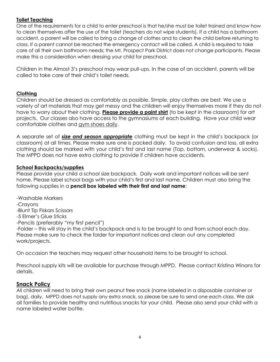# **Toilet Teaching**

One of the requirements for a child to enter preschool is that he/she must be toilet trained and know how to clean themselves after the use of the toilet (teachers do not wipe students). If a child has a bathroom accident, a parent will be called to bring a change of clothes and to clean the child before returning to class. If a parent cannot be reached the emergency contact will be called. A child is required to take care of all their own bathroom needs; the Mt. Prospect Park District does not change participants. Please make this a consideration when dressing your child for preschool.

Children in the Almost 3's preschool may wear pull-ups. In the case of an accident, parents will be called to take care of their child's toilet needs.

# **Clothing**

Children should be dressed as comfortably as possible. Simple, play clothes are best. We use a variety of art materials that may get messy and the children will enjoy themselves more if they do not have to worry about their clothing. **Please provide a paint shirt** (to be kept in the classroom) for art projects. Our classes also have access to the gymnasiums at each building. Have your child wear comfortable clothes and gym shoes daily.

A separate set of *size and season appropriate* clothing must be kept in the child's backpack (or classroom) at all times. Please make sure one is packed daily. To avoid confusion and loss, all extra clothing should be marked with your child's first and last name (Top, bottom, underwear & socks). The MPPD does not have extra clothing to provide if children have accidents.

# **School Backpacks/supplies**

Please provide your child a school size backpack. Daily work and important notices will be sent home. Please label school bags with your child's first and last name. Children must also bring the following supplies in a **pencil box labeled with their first and last name**:

-Washable Markers

-Crayons

-Blunt Tip Fiskars Scissors

-5 Elmer's Glue Sticks

-Pencils (preferably "my first pencil")

-Folder – this will stay in the child's backpack and is to be brought to and from school each day. Please make sure to check the folder for important notices and clean out any completed work/projects.

On occasion the teachers may request other household items to be brought to school.

Preschool supply kits will be available for purchase through MPPD. Please contact Kristina Winans for details.

# **Snack Policy**

All children will need to bring their own peanut free snack (name labeled in a disposable container or bag), daily. MPPD does not supply any extra snack, so please be sure to send one each class. We ask all families to provide healthy and nutritious snacks for your child. Please also send your child with a name labeled water bottle.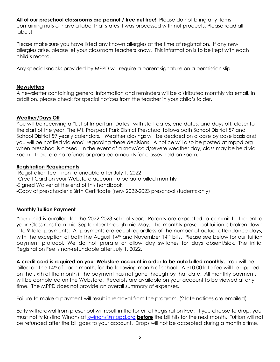**All of our preschool classrooms are peanut / tree nut free!** Please do not bring any items containing nuts or have a label that states it was processed with nut products. Please read all labels!

Please make sure you have listed any known allergies at the time of registration. If any new allergies arise, please let your classroom teachers know. This information is to be kept with each child's record.

Any special snacks provided by MPPD will require a parent signature on a permission slip.

#### **Newsletters**

A newsletter containing general information and reminders will be distributed monthly via email. In addition, please check for special notices from the teacher in your child's folder.

#### **Weather/Days Off**

You will be receiving a "List of Important Dates" with start dates, end dates, and days off, closer to the start of the year. The Mt. Prospect Park District Preschool follows both School District 57 and School District 59 yearly calendars. Weather closings will be decided on a case by case basis and you will be notified via email regarding these decisions. A notice will also be posted at mppd.org when preschool is closed. In the event of a snow/cold/severe weather day, class may be held via Zoom. There are no refunds or prorated amounts for classes held on Zoom.

#### **Registration Requirements**

-Registration fee – non-refundable after July 1, 2022 -Credit Card on your Webstore account to be auto billed monthly -Signed Waiver at the end of this handbook -Copy of preschooler's Birth Certificate (new 2022-2023 preschool students only)

#### **Monthly Tuition Payment**

Your child is enrolled for the 2022-2023 school year. Parents are expected to commit to the entire year. Class runs from mid-September through mid-May. The monthly preschool tuition is broken down into 9 total payments. All payments are equal regardless of the number of actual attendance days, with the exception of both the August 14<sup>th</sup> and November 14<sup>th</sup> bills. Please see below for our tuition payment protocol. We do not prorate or allow day switches for days absent/sick. The initial Registration Fee is non-refundable after July 1, 2022.

**A credit card is required on your Webstore account in order to be auto billed monthly.** You will be billed on the 14th of each month, for the following month of school. A \$10.00 late fee will be applied on the sixth of the month if the payment has not gone through by that date. All monthly payments will be completed on the Webstore. Receipts are available on your account to be viewed at any time. The MPPD does not provide an overall summary of expenses.

Failure to make a payment will result in removal from the program. (2 late notices are emailed)

Early withdrawal from preschool will result in the forfeit of Registration Fee. If you choose to drop, you must notify Kristina Winans at [kwinans@mppd.org](mailto:kwinans@mppd.org) **before** the bill hits for the next month. Tuition will not be refunded after the bill goes to your account. Drops will not be accepted during a month's time.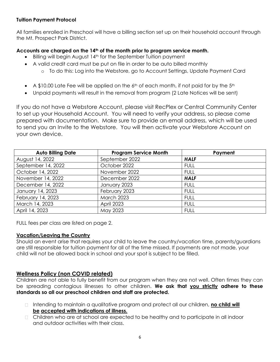# **Tuition Payment Protocol**

All families enrolled in Preschool will have a billing section set up on their household account through the Mt. Prospect Park District.

# **Accounts are charged on the 14th of the month prior to program service month.**

- $\bullet$  Billing will begin August 14<sup>th</sup> for the September Tuition payment
- A valid credit card must be put on file in order to be auto billed monthly
	- o To do this: Log into the Webstore, go to Account Settings, Update Payment Card
- A \$10.00 Late Fee will be applied on the  $6<sup>th</sup>$  of each month, if not paid for by the  $5<sup>th</sup>$
- Unpaid payments will result in the removal from program (2 Late Notices will be sent)

If you do not have a Webstore Account, please visit RecPlex or Central Community Center to set up your Household Account. You will need to verify your address, so please come prepared with documentation. Make sure to provide an email address, which will be used to send you an Invite to the Webstore. You will then activate your Webstore Account on your own device.

| <b>Auto Billing Date</b> | <b>Program Service Month</b> | Payment     |
|--------------------------|------------------------------|-------------|
| August 14, 2022          | September 2022               | <b>HALF</b> |
| September 14, 2022       | October 2022                 | <b>FULL</b> |
| October 14, 2022         | November 2022                | <b>FULL</b> |
| November 14, 2022        | December 2022                | <b>HALF</b> |
| December 14, 2022        | January 2023                 | <b>FULL</b> |
| January 14, 2023         | February 2023                | <b>FULL</b> |
| February 14, 2023        | <b>March 2023</b>            | <b>FULL</b> |
| March 14, 2023           | April 2023                   | <b>FULL</b> |
| April 14, 2023           | May 2023                     | <b>FULL</b> |

FULL fees per class are listed on page 2.

#### **Vacation/Leaving the Country**

Should an event arise that requires your child to leave the country/vacation time, parents/guardians are still responsible for tuition payment for all of the time missed. If payments are not made, your child will not be allowed back in school and your spot is subject to be filled.

# **Wellness Policy (non COVID related)**

Children are not able to fully benefit from our program when they are not well. Often times they can be spreading contagious illnesses to other children. **We ask that you strictly adhere to these standards so all our preschool children and staff are protected.**

- □ Intending to maintain a qualitative program and protect all our children, **no child will be accepted with indications of illness.**
- Children who are at school are expected to be healthy and to participate in all indoor and outdoor activities with their class.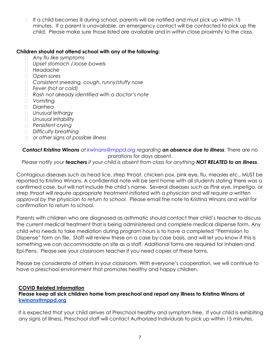If a child becomes ill during school, parents will be notified and must pick up within 15  $\Box$ minutes. If a parent is unavailable, an emergency contact will be contacted to pick up the child. Please make sure those listed are available and in within close proximity to the class.

#### **Children should not attend school with any of the following:**

- *Any flu like symptoms*
- *Upset stomach / loose bowels*
- *Headache*
- *Open sores*
- *Consistent sneezing, cough, runny/stuffy nose*
- *Fever (hot or cold)*
- *Rash not already identified with a doctor's note*
- *Vomiting*
- *Diarrhea*
- *Unusual lethargy*
- *Unusual irritability*
- *Persistent crying*
- *Difficulty breathing*
- *or other signs of possible illness*

*Contact Kristina Winans at [kwinans@mppd.org](mailto:kwinans@mppd.org) regarding an absence due to illness.* There are no prorations for days absent.

*Please notify your teachers if your child is absent from class for anything NOT RELATED to an illness*.

Contagious diseases such as head lice, strep throat, chicken pox, pink eye, flu, measles etc., MUST be reported to Kristina Winans. A confidential note will be sent home with all students stating there was a confirmed case, but will not include the child's name. Several diseases such as *Pink eye, impetigo, or strep throat will require appropriate treatment initiated with a physician and will require a written approval by the physician to return to school*. Please email the note to Kristina Winans and wait for confirmation to return to school.

Parents with children who are diagnosed as asthmatic should contact their child's teacher to discuss the current medical treatment that is being administered and complete medical dispense form. Any child who needs to take mediation during program hours is to have a completed "Permission to Dispense" form on file. Staff will review these on a case by case basis, and will let you know if this is something we can accommodate on site as a staff. Additional forms are required for Inhalers and Epi-Pens. Please see your classroom teacher if you need copies of these forms.

Please be considerate of others in your classroom. With everyone's cooperation, we will continue to have a preschool environment that promotes healthy and happy children.

#### **COVID Related Information**

#### **Please keep all sick children home from preschool and report any illness to Kristina Winans at [kwinans@mppd.org](mailto:kwinans@mppd.org)**

It is expected that your child arrives at Preschool healthy and symptom free. If your child is exhibiting any signs of illness, Preschool staff will contact Authorized Individuals to pick up within 15 minutes.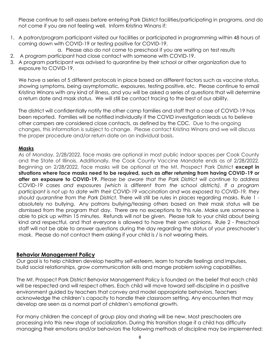Please continue to self-assess before entering Park District facilities/participating in programs, and do not come if you are not feeling well. Inform Kristina Winans if:

1. A patron/program participant visited our facilities or participated in programming within 48 hours of coming down with COVID-19 or testing positive for COVID-19.

a. Please also do not come to preschool if you are waiting on test results

- 2. A program participant had close contact with someone with COVID‐19.
- 3. A program participant was advised to quarantine by their school or other organization due to exposure to COVID-19.

We have a series of 5 different protocols in place based on different factors such as vaccine status, showing symptoms, being asymptomatic, exposures, testing positive, etc. Please continue to email Kristina Winans with any kind of illness, and you will be asked a series of questions that will determine a return date and mask status. We will still be contact tracing to the best of our ability.

The district will confidentially notify the other camp families and staff that a case of COVID-19 has been reported. Families will be notified individually if the COVID investigation leads us to believe other campers are considered close contacts, as defined by the CDC. Due to the ongoing changes, this information is subject to change. Please contact Kristina Winans and we will discuss the proper procedure and/or return date on an individual basis.

#### **Masks**

As of Monday, 2/28/2022, face masks are optional in most public indoor spaces per Cook County and the State of Illinois. Additionally, the Cook County Vaccine Mandate ends as of 2/28/2022. Beginning on 2/28/2022, face masks will be optional at the Mt. Prospect Park District **except in situations where face masks need to be required, such as after returning from having COVID-19 or after an exposure to COVID-19.** *Please be aware that the Park District will continue to address COVID-19 cases and exposures (which is different from the school districts). If a program participant is not up to date with their COVID-19 vaccination and was exposed to COVID-19, they should quarantine from the Park District.* There will still be rules in places regarding masks. Rule 1 absolutely no bullying. Any patrons bullying/teasing others based on their mask status will be dismissed from the program that day. There are no exceptions to this rule. Make sure someone is able to pick up within 15 minutes. Refunds will not be given. Please talk to your child about being kind and respectful, and that everyone is allowed to have their own opinions. Rule 2 - Preschool staff will not be able to answer questions during the day regarding the status of your preschooler's mask. Please do not contact them asking if your child is / is not wearing theirs.

#### **Behavior Management Policy**

Our goal is to help children develop healthy self-esteem, learn to handle feelings and impulses, build social relationships, grow communication skills and mange problem solving capabilities.

The Mt. Prospect Park District Behavior Management Policy is founded on the belief that each child will be respected and will respect others. Each child will move toward self-discipline in a positive environment guided by teachers that convey and model appropriate behaviors. Teachers acknowledge the children's capacity to handle their classroom setting. Any encounters that may develop are seen as a normal part of children's emotional growth.

For many children the concept of group play and sharing will be new. Most preschoolers are processing into this new stage of socialization. During this transition stage if a child has difficulty managing their emotions and/or behaviors the following methods of discipline may be implemented: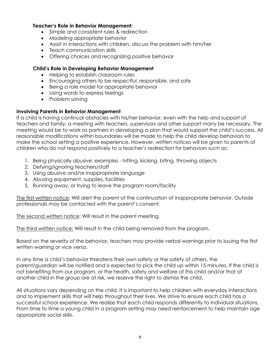#### **Teacher's Role in Behavior Management:**

- Simple and consistent rules & redirection
- Modeling appropriate behavior
- Assist in interactions with children, discuss the problem with him/her
- Teach communication skills
- Offering choices and recognizing positive behavior

#### **Child's Role in Developing Behavior Management**

- Helping to establish classroom rules
- Encouraging others to be respectful, responsible, and safe
- Being a role model for appropriate behavior
- Using words to express feelings
- Problem solving

#### **Involving Parents in Behavior Management**

If a child is having continual obstacles with his/her behavior, even with the help and support of teachers and family, a meeting with teachers, supervisors and other support many be necessary. The meeting would be to work as partners in developing a plan that would support the child's success. All reasonable modifications within boundaries will be made to help the child develop behaviors to make the school setting a positive experience. However, written notices will be given to parents of children who do not respond positively to a teacher's redirection for behaviors such as:

- 1. Being physically abusive: examples hitting, kicking, biting, throwing objects
- 2. Defying/ignoring teachers/staff
- 3. Using abusive and/or inappropriate language
- 4. Abusing equipment, supplies, facilities
- 5. Running away, or trying to leave the program room/facility

The first written notice: Will alert the parent of the continuation of inappropriate behavior. Outside professionals may be contacted with the parent's consent.

The second written notice: Will result in the parent meeting.

The third written notice: Will result in the child being removed from the program.

Based on the severity of the behavior, teachers may provide verbal warnings prior to issuing the first written warning or vice versa.

In any time a child's behavior threatens their own safety or the safety of others, the parent/guardian will be notified and is expected to pick the child up within 15 minutes. If the child is not benefiting from our program, or the health, safety and welfare of this child and/or that of another child in the group are at risk, we reserve the right to dismiss the child.

All situations vary depending on the child. It is important to help children with everyday interactions and to implement skills that will help throughout their lives. We strive to ensure each child has a successful school experience. We realize that each child responds differently to individual situations. From time to time a young child in a program setting may need reinforcement to help maintain age appropriate social skills.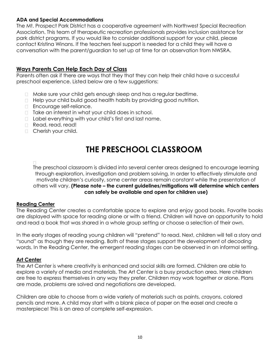# **ADA and Special Accommodations**

The Mt. Prospect Park District has a cooperative agreement with Northwest Special Recreation Association. This team of therapeutic recreation professionals provides inclusion assistance for park district programs. If you would like to consider additional support for your child, please contact Kristina Winans. If the teachers feel support is needed for a child they will have a conversation with the parent/guardian to set up at time for an observation from NWSRA.

# **Ways Parents Can Help Each Day of Class**

Parents often ask if there are ways that they that they can help their child have a successful preschool experience. Listed below are a few suggestions:

- Make sure your child gets enough sleep and has a regular bedtime.
- Help your child build good health habits by providing good nutrition.
- **Encourage self-reliance.**
- $\Box$  Take an interest in what your child does in school.
- □ Label everything with your child's first and last name.
- Read, read, read!
- **Cherish your child.**

# **THE PRESCHOOL CLASSROOM**

The preschool classroom is divided into several center areas designed to encourage learning through exploration, investigation and problem solving. In order to effectively stimulate and motivate children's curiosity, some center areas remain constant while the presentation of others will vary. **(Please note – the current guidelines/mitigations will determine which centers can safely be available and open for children use)**

#### **Reading Center**

The Reading Center creates a comfortable space to explore and enjoy good books. Favorite books are displayed with space for reading alone or with a friend. Children will have an opportunity to hold and read a book that was shared in a whole group setting or choose a selection of their own.

In the early stages of reading young children will "pretend" to read. Next, children will tell a story and "sound" as though they are reading. Both of these stages support the development of decoding words. In the Reading Center, the emergent reading stages can be observed in an informal setting.

#### **Art Center**

The Art Center is where creativity is enhanced and social skills are formed. Children are able to explore a variety of media and materials. The Art Center is a busy production area. Here children are free to express themselves in any way they prefer. Children may work together or alone. Plans are made, problems are solved and negotiations are developed.

Children are able to choose from a wide variety of materials such as paints, crayons, colored pencils and more. A child may start with a blank piece of paper on the easel and create a masterpiece! This is an area of complete self-expression.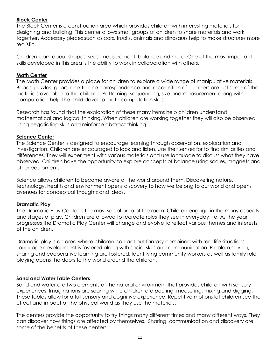#### **Block Center**

The Block Center is a construction area which provides children with interesting materials for designing and building. This center allows small groups of children to share materials and work together. Accessory pieces such as cars, trucks, animals and dinosaurs help to make structures more realistic.

Children learn about shapes, sizes, measurement, balance and more. One of the most important skills developed in this area is the ability to work in collaboration with others.

#### **Math Center**

The Math Center provides a place for children to explore a wide range of manipulative materials. Beads, puzzles, gears, one-to-one correspondence and recognition of numbers are just some of the materials available to the children. Patterning, sequencing, size and measurement along with computation help the child develop math computation skills.

Research has found that the exploration of these many items help children understand mathematical and logical thinking. When children are working together they will also be observed using negotiating skills and reinforce abstract thinking.

# **Science Center**

The Science Center is designed to encourage learning through observation, exploration and investigation. Children are encouraged to look and listen, use their senses for to find similarities and differences. They will experiment with various materials and use language to discuss what they have observed. Children have the opportunity to explore concepts of balance using scales, magnets and other equipment.

Science allows children to become aware of the world around them. Discovering nature, technology, health and environment opens discovery to how we belong to our world and opens avenues for conceptual thoughts and ideas.

# **Dramatic Play**

The Dramatic Play Center is the most social area of the room. Children engage in the many aspects and stages of play. Children are allowed to recreate roles they see in everyday life. As the year progresses the Dramatic Play Center will change and evolve to reflect various themes and interests of the children.

Dramatic play is an area where children can act out fantasy combined with real life situations. Language development is fostered along with social skills and communication. Problem solving, sharing and cooperative learning are fostered. Identifying community workers as well as family role playing opens the doors to the world around the children.

# **Sand and Water Table Centers**

Sand and water are two elements of the natural environment that provides children with sensory experiences. Imaginations are soaring while children are pouring, measuring, mixing and digging. These tables allow for a full sensory and cognitive experience. Repetitive motions let children see the effect and impact of the physical world as they use the materials.

The centers provide the opportunity to try things many different times and many different ways. They can discover how things are affected by themselves. Sharing, communication and discovery are some of the benefits of these centers.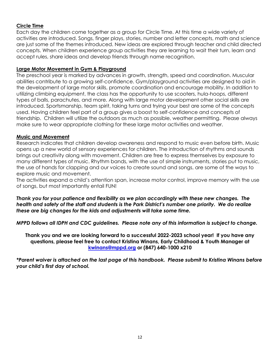#### **Circle Time**

Each day the children come together as a group for Circle Time. At this time a wide variety of activities are introduced. Songs, finger plays, stories, number and letter concepts, math and science are just some of the themes introduced. New ideas are explored through teacher and child directed concepts. When children experience group activities they are learning to wait their turn, learn and accept rules, share ideas and develop friends through name recognition.

#### **Large Motor Movement in Gym & Playground**

The preschool year is marked by advances in growth, strength, speed and coordination. Muscular abilities contribute to a growing self-confidence. Gym/playground activities are designed to aid in the development of large motor skills, promote coordination and encourage mobility. In addition to utilizing climbing equipment, the class has the opportunity to use scooters, hula-hoops, different types of balls, parachutes, and more. Along with large motor development other social skills are introduced. Sportsmanship, team spirit, taking turns and trying your best are some of the concepts used. Having children feel part of a group gives a boost to self-confidence and concepts of friendship. Children will utilize the outdoors as much as possible, weather permitting. Please always make sure to wear appropriate clothing for these large motor activities and weather.

#### **Music and Movement**

Research indicates that children develop awareness and respond to music even before birth. Music opens up a new world of sensory experiences for children. The introduction of rhythms and sounds brings out creativity along with movement. Children are free to express themselves by exposure to many different types of music. Rhythm bands, with the use of simple instruments, stories put to music, the use of hands for clapping and our voices to create sound and songs, are some of the ways to explore music and movement.

The activities expand a child's attention span, increase motor control, improve memory with the use of songs, but most importantly entail FUN!

*Thank you for your patience and flexibility as we plan accordingly with these new changes. The health and safety of the staff and students is the Park District's number one priority. We do realize these are big changes for the kids and adjustments will take some time.*

*MPPD follows all IDPH and CDC guidelines. Please note any of this information is subject to change.*

**Thank you and we are looking forward to a successful 2022-2023 school year! If you have any questions, please feel free to contact Kristina Winans, Early Childhood & Youth Manager at [kwinans@mppd.org](mailto:kwinans@mppd.org) or (847) 640-1000 x210**

*\*Parent waiver is attached on the last page of this handbook. Please submit to Kristina Winans before your child's first day of school.*